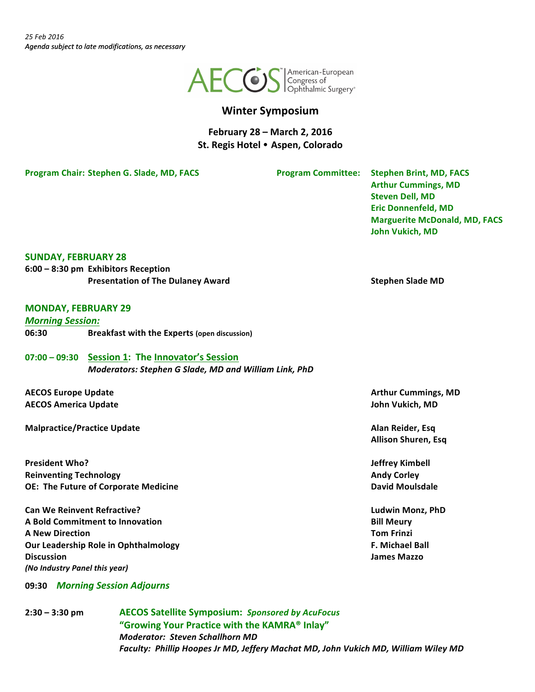

# **Winter Symposium**

**February 28 – March 2, 2016 St. Regis Hotel Aspen, Colorado**

**Program Chair: Stephen G. Slade, MD, FACS Program Committee:** Stephen Brint, MD, FACS

**Arthur Cummings, MD Steven Dell, MD Eric Donnenfeld, MD Marguerite McDonald, MD, FACS John Vukich, MD** 

#### **SUNDAY, FEBRUARY 28**

**6:00 – 8:30 pm Exhibitors Reception Presentation of The Dulaney Award Stephen Slade MD Stephen Slade MD** 

#### **MONDAY, FEBRUARY 29**

*Morning Session:* **06:30 Breakfast with the Experts (open discussion)** 

**07:00 – 09:30 Session 1: The Innovator's Session** *Moderators: Stephen G Slade, MD and William Link, PhD*

**AECOS** Europe Update **Arthur** Cummings, MD **AECOS America Update John Vukich, MD**

**Malpractice/Practice Update Alan Reider, Esq**

**President Who? Jeffrey Kimbell Reinventing Technology Andy Corley Andy Corley Andy Corley OE:** The Future of Corporate Medicine **Community Contained But Lines and Accord David Moulsdale** 

**Can We Reinvent Refractive? Ludwin Monz, PhD A** Bold Commitment to Innovation **Bill Meury Bill Meury A New Direction Tom Frinzi Our Leadership Role in Ophthalmology F. Michael Ball Discussion James Mazzo** *(No Industry Panel this year)*

**09:30** *Morning Session Adjourns*

**2:30 – 3:30 pm AECOS Satellite Symposium:** *Sponsored by AcuFocus* "Growing Your Practice with the KAMRA<sup>®</sup> Inlay" *Moderator: Steven Schallhorn MD* Faculty: Phillip Hoopes Jr MD, Jeffery Machat MD, John Vukich MD, William Wiley MD

**Allison Shuren, Esq**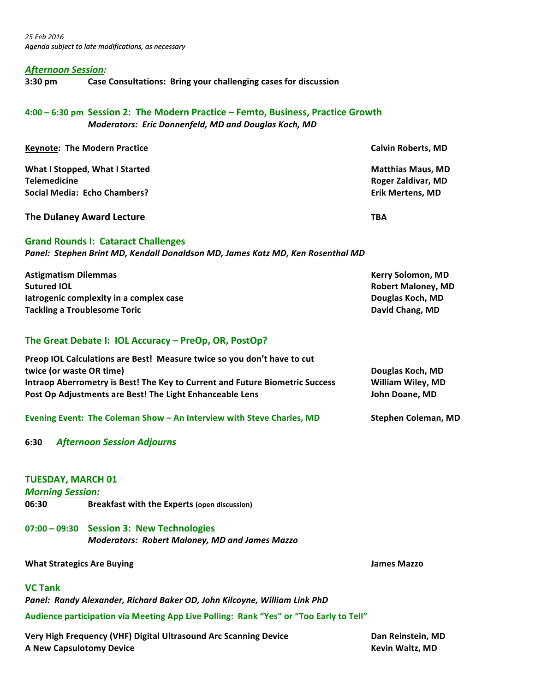#### *Afternoon Session:*

**3:30 pm Case Consultations: Bring your challenging cases for discussion**

## **4:00 – 6:30 pm Session 2: The Modern Practice – Femto, Business, Practice Growth** *Moderators: Eric Donnenfeld, MD and Douglas Koch, MD*

| <b>Keynote: The Modern Practice</b> | <b>Calvin Roberts, MD</b> |
|-------------------------------------|---------------------------|
| What I Stopped, What I Started      | <b>Matthias Maus, MD</b>  |
| <b>Telemedicine</b>                 | Roger Zaldivar, MD        |
| Social Media: Echo Chambers?        | <b>Erik Mertens, MD</b>   |
| The Dulaney Award Lecture           | TBA                       |

#### **Grand Rounds I: Cataract Challenges**

Panel: Stephen Brint MD, Kendall Donaldson MD, James Katz MD, Ken Rosenthal MD

**Astigmatism Dilemmas Contract Contract Contract Contract Contract Contract Contract Contract Contract Contract Contract Contract Contract Contract Contract Contract Contract Contract Contract Contract Contract Contract Sutured IOL Robert Maloney, MD Iatrogenic complexity in a complex case Douglas Koch, MD Douglas Koch, MD Tackling a Troublesome Toric David Chang, MD David Chang, MD** 

## The Great Debate I: IOL Accuracy – PreOp, OR, PostOp?

| Preop IOL Calculations are Best! Measure twice so you don't have to cut      |                   |
|------------------------------------------------------------------------------|-------------------|
| twice (or waste OR time)                                                     | Douglas Koch, MD  |
| Intraop Aberrometry is Best! The Key to Current and Future Biometric Success | William Wiley, MD |
| Post Op Adjustments are Best! The Light Enhanceable Lens                     | John Doane, MD    |
|                                                                              |                   |

**Evening Event: The Coleman Show - An Interview with Steve Charles, MD Stephen Coleman, MD** 

## **6:30** *Afternoon Session Adjourns*

#### **TUESDAY, MARCH 01**

#### *Morning Session:*

**06:30 Breakfast with the Experts (open discussion)** 

**07:00 – 09:30 Session 3: New Technologies** *Moderators: Robert Maloney, MD and James Mazzo*

#### **What Strategics Are Buying and Strategics Are Buying and Strategies Are Strategies Are Strategies Are Strategies Are Strategies Are Strategies Are Strategies Are Strategies Are Strategies Are Strategies Are Strategies Are**

#### **VC** Tank

Panel: Randy Alexander, Richard Baker OD, John Kilcoyne, William Link PhD

Audience participation via Meeting App Live Polling: Rank "Yes" or "Too Early to Tell"

**Very High Frequency (VHF) Digital Ultrasound Arc Scanning Device <b>Dan Reinstein, MD A** New Capsulotomy Device *Kevin Waltz, MD*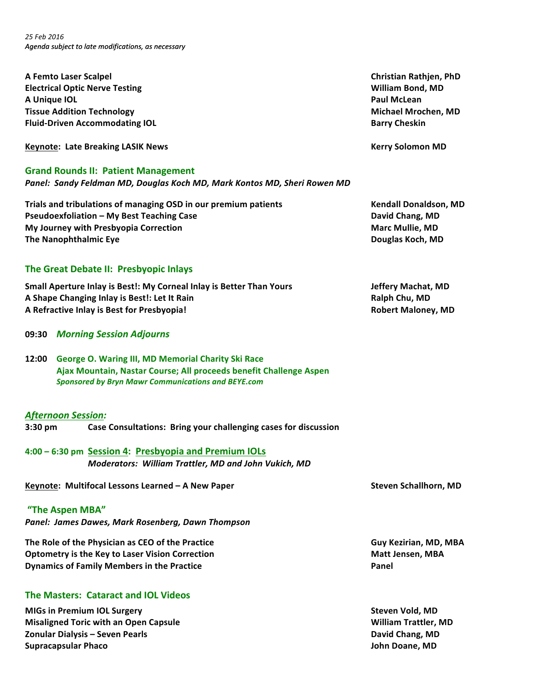*25 Feb 2016 Agenda subject to late modifications, as necessary*

**A Femto Laser Scalpel Christian Rathjen, PhD Electrical Optic Nerve Testing William Bond, MD A** Unique IOL *Paul McLean* **Tissue Addition Technology Michael Mrochen, MD Fluid-Driven Accommodating IOL Barry Cheskin Barry Cheskin** 

**Keynote: Late Breaking LASIK News Kerry Solomon MD**

#### **Grand Rounds II: Patient Management**

Panel: Sandy Feldman MD, Douglas Koch MD, Mark Kontos MD, Sheri Rowen MD

**Trials and tribulations of managing OSD in our premium patients Trimes and Mendall Donaldson, MD Pseudoexfoliation – My Best Teaching Case David Chang, MD David Chang, MD My Journey with Presbyopia Correction Marc** Mullie, MD **The Nanophthalmic Eye Douglas Koch, MD** 

## The Great Debate II: Presbyopic Inlays

**Small Aperture Inlay is Best!: My Corneal Inlay is Better Than Yours <b>State Act Act Act Act Act Act Act Act Act A A** Shape Changing Inlay is Best!: Let It Rain **Ralph Chu, MD** Ralph Chu, MD **A Refractive Inlay is Best for Presbyopia! Robert Maloney, MD**

- **09:30** *Morning Session Adjourns*
- **12:00 George O. Waring III, MD Memorial Charity Ski Race Ajax Mountain, Nastar Course; All proceeds benefit Challenge Aspen** *Sponsored by Bryn Mawr Communications and BEYE.com*

#### *Afternoon Session:*

**3:30 pm Case Consultations: Bring your challenging cases for discussion**

**4:00 – 6:30 pm Session 4: Presbyopia and Premium IOLs** *Moderators: William Trattler, MD and John Vukich, MD*

**Keynote:** Multifocal Lessons Learned – A New Paper<br>
Steven Schallhorn, MD

**"The Aspen MBA"**  *Panel: James Dawes, Mark Rosenberg, Dawn Thompson*

**The Role of the Physician as CEO of the Practice <b>Guy** Kezirian, MD, MBA **Optometry is the Key to Laser Vision Correction Matt Jensen, MBA Dynamics of Family Members in the Practice <b>Action Panel Panel** 

## **The Masters: Cataract and IOL Videos**

**MIGs** in Premium IOL Surgery **Steven Vold, MD** Steven Vold, MD **Misaligned Toric with an Open Capsule William Trattler, MD Zonular Dialysis – Seven Pearls David Chang, MD David Chang, MD Supracapsular Phaco** *John Doane, MD*